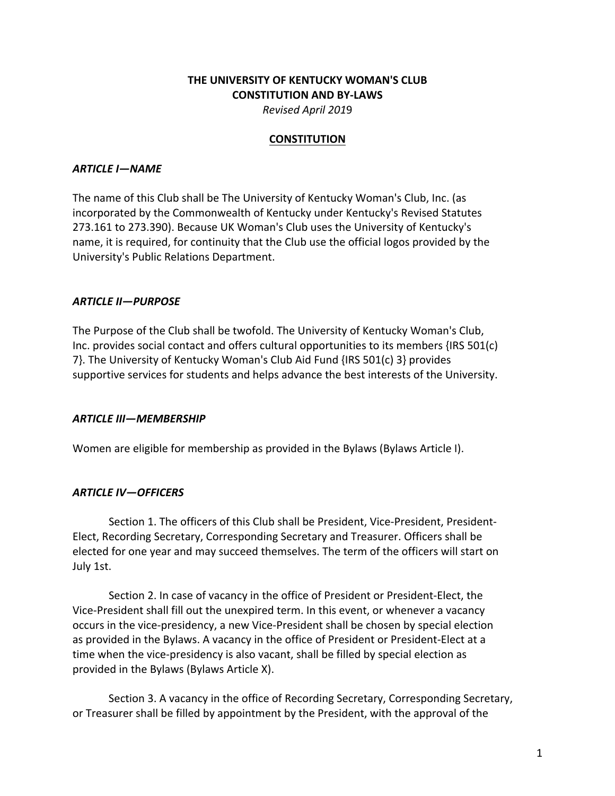# **THE UNIVERSITY OF KENTUCKY WOMAN'S CLUB CONSTITUTION AND BY-LAWS** *Revised April 201*9

#### **CONSTITUTION**

### **ARTICLE I-NAME**

The name of this Club shall be The University of Kentucky Woman's Club, Inc. (as incorporated by the Commonwealth of Kentucky under Kentucky's Revised Statutes 273.161 to 273.390). Because UK Woman's Club uses the University of Kentucky's name, it is required, for continuity that the Club use the official logos provided by the University's Public Relations Department.

## *ARTICLE II—PURPOSE*

The Purpose of the Club shall be twofold. The University of Kentucky Woman's Club, Inc. provides social contact and offers cultural opportunities to its members  $\{IRS\ 501(c)$ 7}. The University of Kentucky Woman's Club Aid Fund  $\{IRS\ 501(c)\ 3\}$  provides supportive services for students and helps advance the best interests of the University.

#### *ARTICLE III—MEMBERSHIP*

Women are eligible for membership as provided in the Bylaws (Bylaws Article I).

## *ARTICLE IV—OFFICERS*

Section 1. The officers of this Club shall be President, Vice-President, President-Elect, Recording Secretary, Corresponding Secretary and Treasurer. Officers shall be elected for one year and may succeed themselves. The term of the officers will start on July 1st.

Section 2. In case of vacancy in the office of President or President-Elect, the Vice-President shall fill out the unexpired term. In this event, or whenever a vacancy occurs in the vice-presidency, a new Vice-President shall be chosen by special election as provided in the Bylaws. A vacancy in the office of President or President-Elect at a time when the vice-presidency is also vacant, shall be filled by special election as provided in the Bylaws (Bylaws Article X).

Section 3. A vacancy in the office of Recording Secretary, Corresponding Secretary, or Treasurer shall be filled by appointment by the President, with the approval of the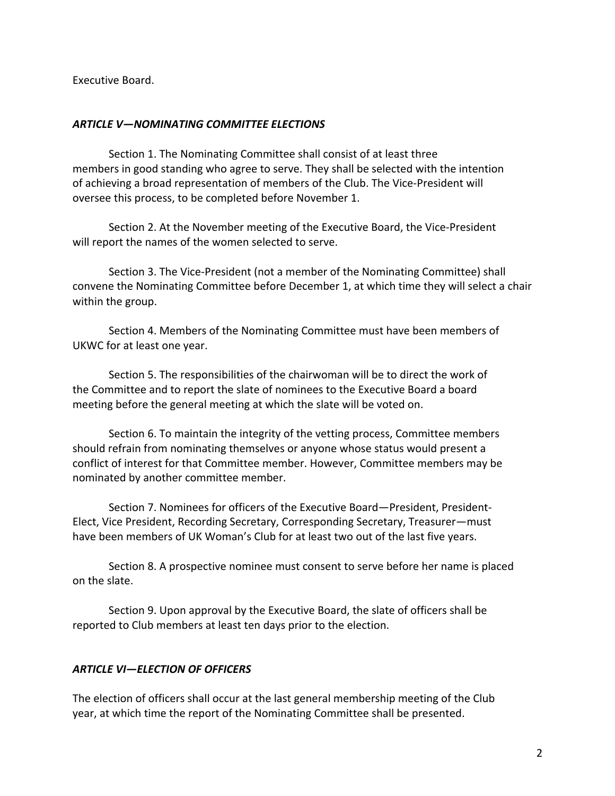Executive Board.

### *ARTICLE V—NOMINATING COMMITTEE ELECTIONS*

Section 1. The Nominating Committee shall consist of at least three members in good standing who agree to serve. They shall be selected with the intention of achieving a broad representation of members of the Club. The Vice-President will oversee this process, to be completed before November 1.

Section 2. At the November meeting of the Executive Board, the Vice-President will report the names of the women selected to serve.

Section 3. The Vice-President (not a member of the Nominating Committee) shall convene the Nominating Committee before December 1, at which time they will select a chair within the group.

Section 4. Members of the Nominating Committee must have been members of UKWC for at least one year.

Section 5. The responsibilities of the chairwoman will be to direct the work of the Committee and to report the slate of nominees to the Executive Board a board meeting before the general meeting at which the slate will be voted on.

Section 6. To maintain the integrity of the vetting process, Committee members should refrain from nominating themselves or anyone whose status would present a conflict of interest for that Committee member. However, Committee members may be nominated by another committee member.

Section 7. Nominees for officers of the Executive Board—President, President-Elect, Vice President, Recording Secretary, Corresponding Secretary, Treasurer—must have been members of UK Woman's Club for at least two out of the last five years.

Section 8. A prospective nominee must consent to serve before her name is placed on the slate.

Section 9. Upon approval by the Executive Board, the slate of officers shall be reported to Club members at least ten days prior to the election.

## *ARTICLE VI—ELECTION OF OFFICERS*

The election of officers shall occur at the last general membership meeting of the Club year, at which time the report of the Nominating Committee shall be presented.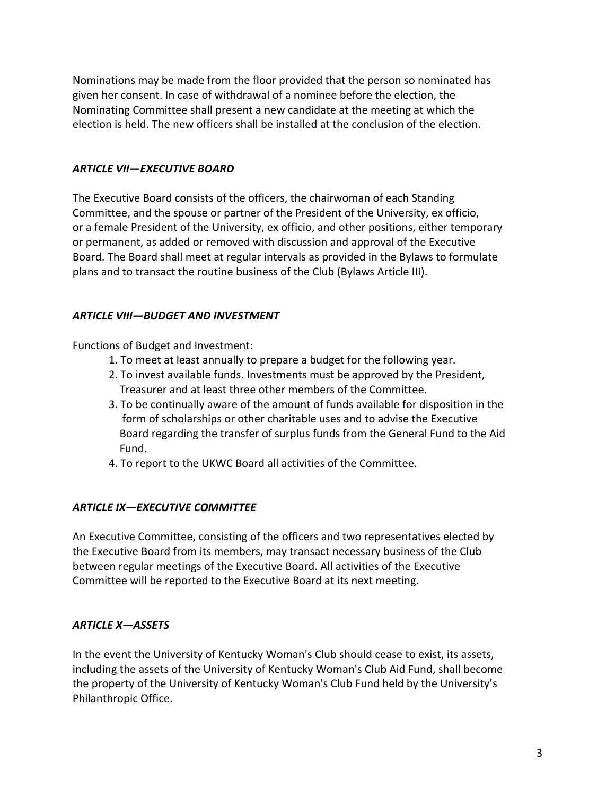Nominations may be made from the floor provided that the person so nominated has given her consent. In case of withdrawal of a nominee before the election, the Nominating Committee shall present a new candidate at the meeting at which the election is held. The new officers shall be installed at the conclusion of the election.

## **ARTICLE VII—EXECUTIVE BOARD**

The Executive Board consists of the officers, the chairwoman of each Standing Committee, and the spouse or partner of the President of the University, ex officio, or a female President of the University, ex officio, and other positions, either temporary or permanent, as added or removed with discussion and approval of the Executive Board. The Board shall meet at regular intervals as provided in the Bylaws to formulate plans and to transact the routine business of the Club (Bylaws Article III).

## *ARTICLE VIII—BUDGET AND INVESTMENT*

Functions of Budget and Investment:

- 1. To meet at least annually to prepare a budget for the following year.
- 2. To invest available funds. Investments must be approved by the President, Treasurer and at least three other members of the Committee.
- 3. To be continually aware of the amount of funds available for disposition in the form of scholarships or other charitable uses and to advise the Executive Board regarding the transfer of surplus funds from the General Fund to the Aid Fund.
- 4. To report to the UKWC Board all activities of the Committee.

# *ARTICLE IX—EXECUTIVE COMMITTEE*

An Executive Committee, consisting of the officers and two representatives elected by the Executive Board from its members, may transact necessary business of the Club between regular meetings of the Executive Board. All activities of the Executive Committee will be reported to the Executive Board at its next meeting.

# *ARTICLE X—ASSETS*

In the event the University of Kentucky Woman's Club should cease to exist, its assets, including the assets of the University of Kentucky Woman's Club Aid Fund, shall become the property of the University of Kentucky Woman's Club Fund held by the University's Philanthropic Office.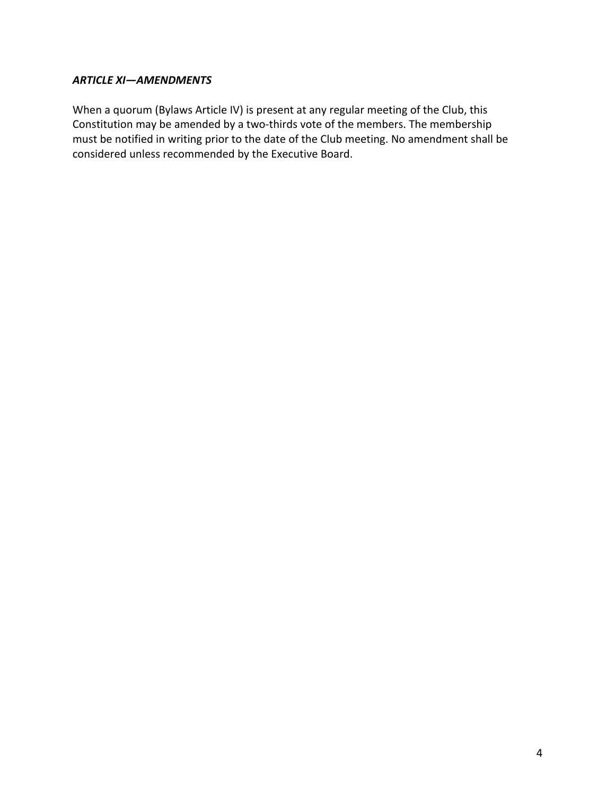# *ARTICLE XI—AMENDMENTS*

When a quorum (Bylaws Article IV) is present at any regular meeting of the Club, this Constitution may be amended by a two-thirds vote of the members. The membership must be notified in writing prior to the date of the Club meeting. No amendment shall be considered unless recommended by the Executive Board.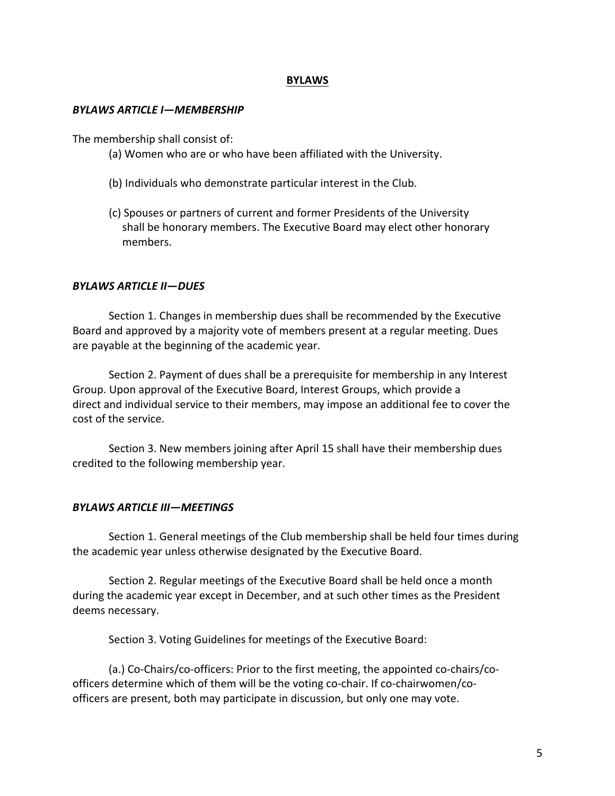#### **BYLAWS**

#### *BYLAWS ARTICLE I—MEMBERSHIP*

The membership shall consist of:

- (a) Women who are or who have been affiliated with the University.
- (b) Individuals who demonstrate particular interest in the Club.
- (c) Spouses or partners of current and former Presidents of the University shall be honorary members. The Executive Board may elect other honorary members.

#### *BYLAWS ARTICLE II—DUES*

Section 1. Changes in membership dues shall be recommended by the Executive Board and approved by a majority vote of members present at a regular meeting. Dues are payable at the beginning of the academic year.

Section 2. Payment of dues shall be a prerequisite for membership in any Interest Group. Upon approval of the Executive Board, Interest Groups, which provide a direct and individual service to their members, may impose an additional fee to cover the cost of the service.

Section 3. New members joining after April 15 shall have their membership dues credited to the following membership year.

#### *BYLAWS ARTICLE III—MEETINGS*

Section 1. General meetings of the Club membership shall be held four times during the academic year unless otherwise designated by the Executive Board.

Section 2. Regular meetings of the Executive Board shall be held once a month during the academic year except in December, and at such other times as the President deems necessary.

Section 3. Voting Guidelines for meetings of the Executive Board:

(a.) Co-Chairs/co-officers: Prior to the first meeting, the appointed co-chairs/coofficers determine which of them will be the voting co-chair. If co-chairwomen/coofficers are present, both may participate in discussion, but only one may vote.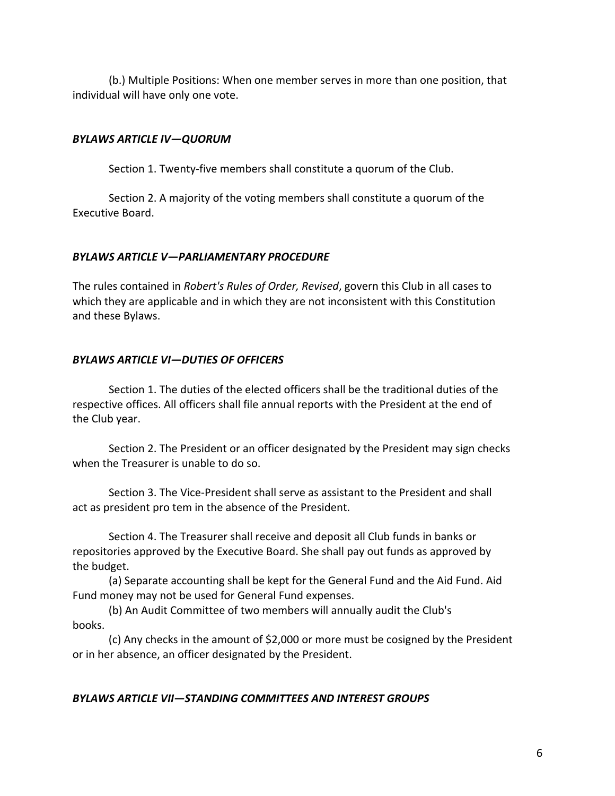(b.) Multiple Positions: When one member serves in more than one position, that individual will have only one vote.

### *BYLAWS ARTICLE IV—QUORUM*

Section 1. Twenty-five members shall constitute a quorum of the Club.

Section 2. A majority of the voting members shall constitute a quorum of the Executive Board.

#### *BYLAWS ARTICLE V—PARLIAMENTARY PROCEDURE*

The rules contained in *Robert's Rules of Order, Revised*, govern this Club in all cases to which they are applicable and in which they are not inconsistent with this Constitution and these Bylaws.

### *BYLAWS ARTICLE VI—DUTIES OF OFFICERS*

Section 1. The duties of the elected officers shall be the traditional duties of the respective offices. All officers shall file annual reports with the President at the end of the Club year.

Section 2. The President or an officer designated by the President may sign checks when the Treasurer is unable to do so.

Section 3. The Vice-President shall serve as assistant to the President and shall act as president pro tem in the absence of the President.

Section 4. The Treasurer shall receive and deposit all Club funds in banks or repositories approved by the Executive Board. She shall pay out funds as approved by the budget.

(a) Separate accounting shall be kept for the General Fund and the Aid Fund. Aid Fund money may not be used for General Fund expenses.

(b) An Audit Committee of two members will annually audit the Club's books.

(c) Any checks in the amount of \$2,000 or more must be cosigned by the President or in her absence, an officer designated by the President.

#### *BYLAWS ARTICLE VII—STANDING COMMITTEES AND INTEREST GROUPS*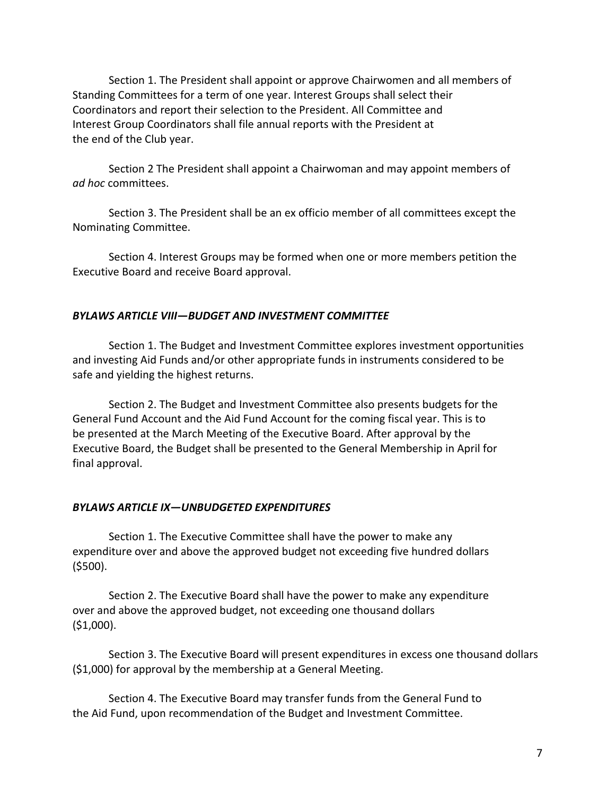Section 1. The President shall appoint or approve Chairwomen and all members of Standing Committees for a term of one year. Interest Groups shall select their Coordinators and report their selection to the President. All Committee and Interest Group Coordinators shall file annual reports with the President at the end of the Club year.

Section 2 The President shall appoint a Chairwoman and may appoint members of *ad hoc* committees.

Section 3. The President shall be an ex officio member of all committees except the Nominating Committee.

Section 4. Interest Groups may be formed when one or more members petition the Executive Board and receive Board approval.

## *BYLAWS ARTICLE VIII—BUDGET AND INVESTMENT COMMITTEE*

Section 1. The Budget and Investment Committee explores investment opportunities and investing Aid Funds and/or other appropriate funds in instruments considered to be safe and yielding the highest returns.

Section 2. The Budget and Investment Committee also presents budgets for the General Fund Account and the Aid Fund Account for the coming fiscal year. This is to be presented at the March Meeting of the Executive Board. After approval by the Executive Board, the Budget shall be presented to the General Membership in April for final approval.

#### *BYLAWS ARTICLE IX—UNBUDGETED EXPENDITURES*

Section 1. The Executive Committee shall have the power to make any expenditure over and above the approved budget not exceeding five hundred dollars (\$500).

Section 2. The Executive Board shall have the power to make any expenditure over and above the approved budget, not exceeding one thousand dollars (\$1,000).

Section 3. The Executive Board will present expenditures in excess one thousand dollars  $(51,000)$  for approval by the membership at a General Meeting.

Section 4. The Executive Board may transfer funds from the General Fund to the Aid Fund, upon recommendation of the Budget and Investment Committee.